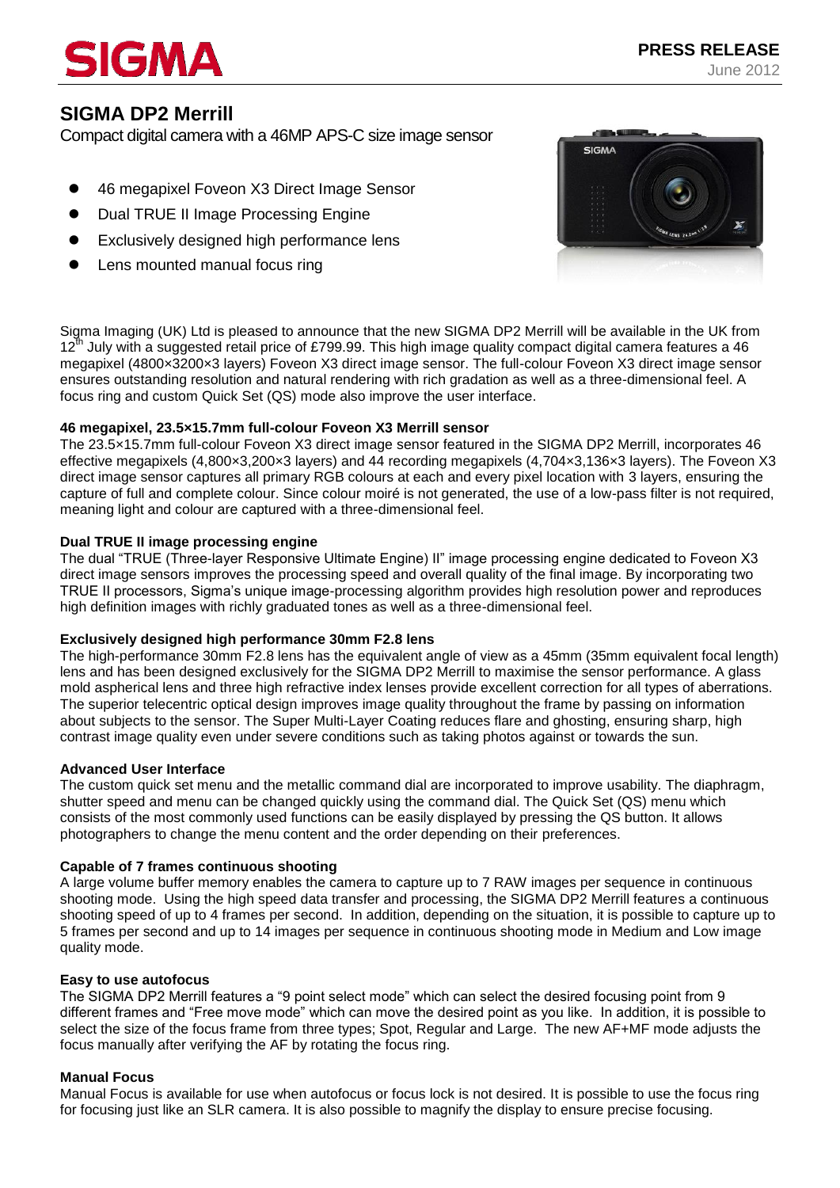# **SICMA**

# **SIGMA DP2 Merrill**

Compact digital camera with a 46MP APS-C size image sensor

- 46 megapixel Foveon X3 Direct Image Sensor
- Dual TRUE II Image Processing Engine
- Exclusively designed high performance lens
- Lens mounted manual focus ring



Sigma Imaging (UK) Ltd is pleased to announce that the new SIGMA DP2 Merrill will be available in the UK from 12<sup>th</sup> July with a suggested retail price of £799.99. This high image quality compact digital camera features a 46 megapixel (4800×3200×3 layers) Foveon X3 direct image sensor. The full-colour Foveon X3 direct image sensor ensures outstanding resolution and natural rendering with rich gradation as well as a three-dimensional feel. A focus ring and custom Quick Set (QS) mode also improve the user interface.

# **46 megapixel, 23.5×15.7mm full-colour Foveon X3 Merrill sensor**

The 23.5×15.7mm full-colour Foveon X3 direct image sensor featured in the SIGMA DP2 Merrill, incorporates 46 effective megapixels (4,800×3,200×3 layers) and 44 recording megapixels (4,704×3,136×3 layers). The Foveon X3 direct image sensor captures all primary RGB colours at each and every pixel location with 3 layers, ensuring the capture of full and complete colour. Since colour moiré is not generated, the use of a low-pass filter is not required, meaning light and colour are captured with a three-dimensional feel.

# **Dual TRUE II image processing engine**

The dual "TRUE (Three-layer Responsive Ultimate Engine) II" image processing engine dedicated to Foveon X3 direct image sensors improves the processing speed and overall quality of the final image. By incorporating two TRUE II processors, Sigma's unique image-processing algorithm provides high resolution power and reproduces high definition images with richly graduated tones as well as a three-dimensional feel.

# **Exclusively designed high performance 30mm F2.8 lens**

The high-performance 30mm F2.8 lens has the equivalent angle of view as a 45mm (35mm equivalent focal length) lens and has been designed exclusively for the SIGMA DP2 Merrill to maximise the sensor performance. A glass mold aspherical lens and three high refractive index lenses provide excellent correction for all types of aberrations. The superior telecentric optical design improves image quality throughout the frame by passing on information about subjects to the sensor. The Super Multi-Layer Coating reduces flare and ghosting, ensuring sharp, high contrast image quality even under severe conditions such as taking photos against or towards the sun.

# **Advanced User Interface**

The custom quick set menu and the metallic command dial are incorporated to improve usability. The diaphragm, shutter speed and menu can be changed quickly using the command dial. The Quick Set (QS) menu which consists of the most commonly used functions can be easily displayed by pressing the QS button. It allows photographers to change the menu content and the order depending on their preferences.

# **Capable of 7 frames continuous shooting**

A large volume buffer memory enables the camera to capture up to 7 RAW images per sequence in continuous shooting mode. Using the high speed data transfer and processing, the SIGMA DP2 Merrill features a continuous shooting speed of up to 4 frames per second. In addition, depending on the situation, it is possible to capture up to 5 frames per second and up to 14 images per sequence in continuous shooting mode in Medium and Low image quality mode.

# **Easy to use autofocus**

The SIGMA DP2 Merrill features a "9 point select mode" which can select the desired focusing point from 9 different frames and "Free move mode" which can move the desired point as you like. In addition, it is possible to select the size of the focus frame from three types; Spot, Regular and Large. The new AF+MF mode adjusts the focus manually after verifying the AF by rotating the focus ring.

# **Manual Focus**

Manual Focus is available for use when autofocus or focus lock is not desired. It is possible to use the focus ring for focusing just like an SLR camera. It is also possible to magnify the display to ensure precise focusing.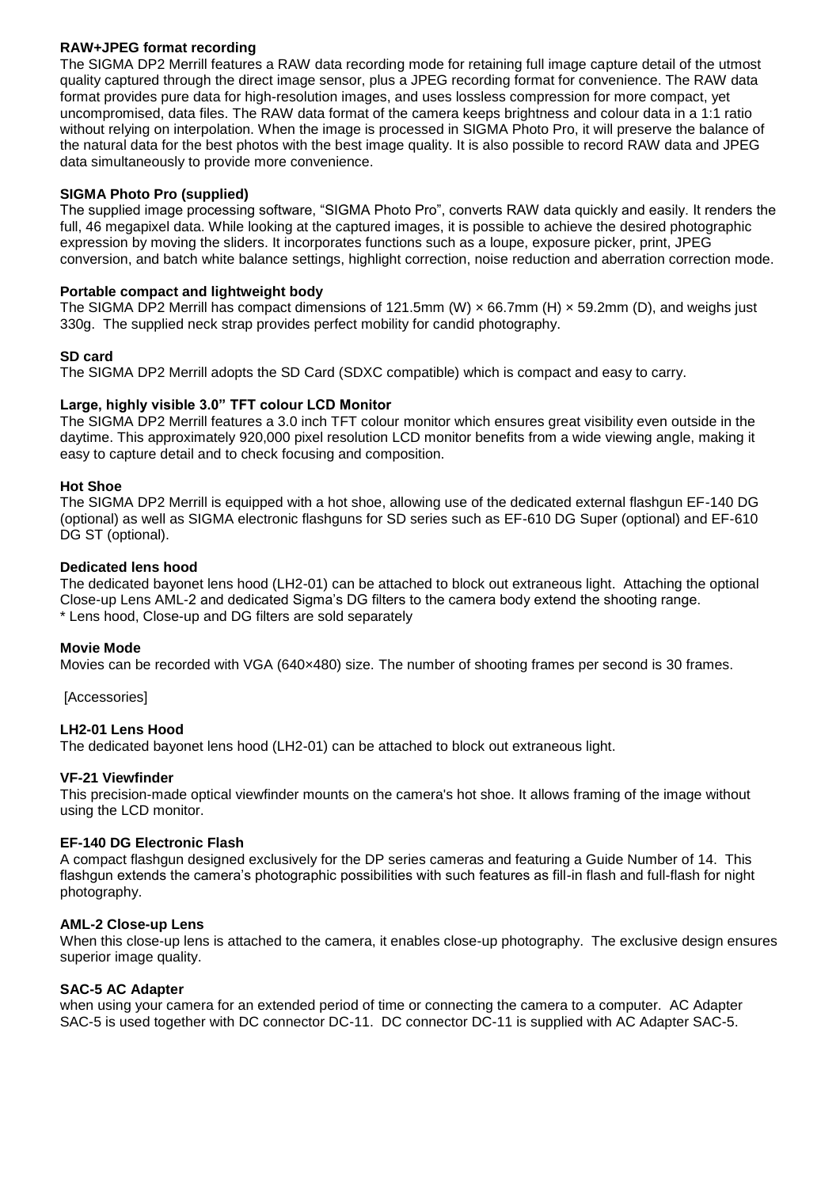# **RAW+JPEG format recording**

The SIGMA DP2 Merrill features a RAW data recording mode for retaining full image capture detail of the utmost quality captured through the direct image sensor, plus a JPEG recording format for convenience. The RAW data format provides pure data for high-resolution images, and uses lossless compression for more compact, yet uncompromised, data files. The RAW data format of the camera keeps brightness and colour data in a 1:1 ratio without relying on interpolation. When the image is processed in SIGMA Photo Pro, it will preserve the balance of the natural data for the best photos with the best image quality. It is also possible to record RAW data and JPEG data simultaneously to provide more convenience.

# **SIGMA Photo Pro (supplied)**

The supplied image processing software, "SIGMA Photo Pro", converts RAW data quickly and easily. It renders the full, 46 megapixel data. While looking at the captured images, it is possible to achieve the desired photographic expression by moving the sliders. It incorporates functions such as a loupe, exposure picker, print, JPEG conversion, and batch white balance settings, highlight correction, noise reduction and aberration correction mode.

# **Portable compact and lightweight body**

The SIGMA DP2 Merrill has compact dimensions of 121.5mm (W)  $\times$  66.7mm (H)  $\times$  59.2mm (D), and weighs just 330g. The supplied neck strap provides perfect mobility for candid photography.

# **SD card**

The SIGMA DP2 Merrill adopts the SD Card (SDXC compatible) which is compact and easy to carry.

# **Large, highly visible 3.0" TFT colour LCD Monitor**

The SIGMA DP2 Merrill features a 3.0 inch TFT colour monitor which ensures great visibility even outside in the daytime. This approximately 920,000 pixel resolution LCD monitor benefits from a wide viewing angle, making it easy to capture detail and to check focusing and composition.

# **Hot Shoe**

The SIGMA DP2 Merrill is equipped with a hot shoe, allowing use of the dedicated external flashgun EF-140 DG (optional) as well as SIGMA electronic flashguns for SD series such as EF-610 DG Super (optional) and EF-610 DG ST (optional).

# **Dedicated lens hood**

The dedicated bayonet lens hood (LH2-01) can be attached to block out extraneous light. Attaching the optional Close-up Lens AML-2 and dedicated Sigma's DG filters to the camera body extend the shooting range. \* Lens hood, Close-up and DG filters are sold separately

# **Movie Mode**

Movies can be recorded with VGA (640×480) size. The number of shooting frames per second is 30 frames.

[Accessories]

# **LH2-01 Lens Hood**

The dedicated bayonet lens hood (LH2-01) can be attached to block out extraneous light.

# **VF-21 Viewfinder**

This precision-made optical viewfinder mounts on the camera's hot shoe. It allows framing of the image without using the LCD monitor.

# **EF-140 DG Electronic Flash**

A compact flashgun designed exclusively for the DP series cameras and featuring a Guide Number of 14. This flashgun extends the camera's photographic possibilities with such features as fill-in flash and full-flash for night photography.

# **AML-2 Close-up Lens**

When this close-up lens is attached to the camera, it enables close-up photography. The exclusive design ensures superior image quality.

# **SAC-5 AC Adapter**

when using your camera for an extended period of time or connecting the camera to a computer. AC Adapter SAC-5 is used together with DC connector DC-11. DC connector DC-11 is supplied with AC Adapter SAC-5.